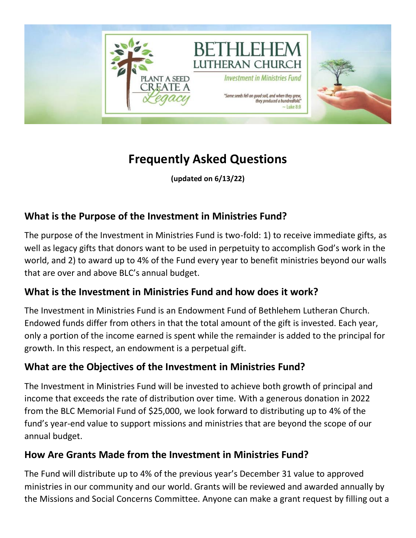

# **Frequently Asked Questions**

**(updated on 6/13/22)**

## **What is the Purpose of the Investment in Ministries Fund?**

The purpose of the Investment in Ministries Fund is two-fold: 1) to receive immediate gifts, as well as legacy gifts that donors want to be used in perpetuity to accomplish God's work in the world, and 2) to award up to 4% of the Fund every year to benefit ministries beyond our walls that are over and above BLC's annual budget.

### **What is the Investment in Ministries Fund and how does it work?**

The Investment in Ministries Fund is an Endowment Fund of Bethlehem Lutheran Church. Endowed funds differ from others in that the total amount of the gift is invested. Each year, only a portion of the income earned is spent while the remainder is added to the principal for growth. In this respect, an endowment is a perpetual gift.

### **What are the Objectives of the Investment in Ministries Fund?**

The Investment in Ministries Fund will be invested to achieve both growth of principal and income that exceeds the rate of distribution over time. With a generous donation in 2022 from the BLC Memorial Fund of \$25,000, we look forward to distributing up to 4% of the fund's year-end value to support missions and ministries that are beyond the scope of our annual budget.

### **How Are Grants Made from the Investment in Ministries Fund?**

The Fund will distribute up to 4% of the previous year's December 31 value to approved ministries in our community and our world. Grants will be reviewed and awarded annually by the Missions and Social Concerns Committee. Anyone can make a grant request by filling out a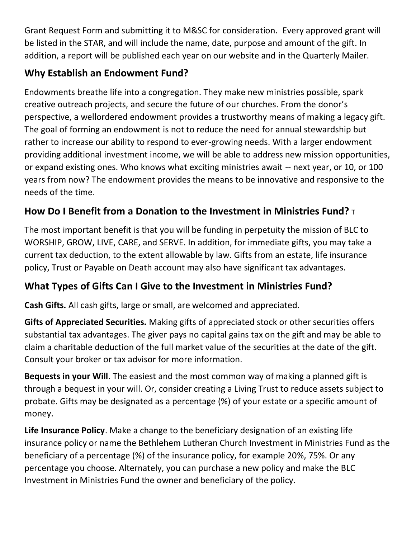Grant Request Form and submitting it to M&SC for consideration. Every approved grant will be listed in the STAR, and will include the name, date, purpose and amount of the gift. In addition, a report will be published each year on our website and in the Quarterly Mailer.

## **Why Establish an Endowment Fund?**

Endowments breathe life into a congregation. They make new ministries possible, spark creative outreach projects, and secure the future of our churches. From the donor's perspective, a wellordered endowment provides a trustworthy means of making a legacy gift. The goal of forming an endowment is not to reduce the need for annual stewardship but rather to increase our ability to respond to ever-growing needs. With a larger endowment providing additional investment income, we will be able to address new mission opportunities, or expand existing ones. Who knows what exciting ministries await -- next year, or 10, or 100 years from now? The endowment provides the means to be innovative and responsive to the needs of the time.

# **How Do I Benefit from a Donation to the Investment in Ministries Fund?** T

The most important benefit is that you will be funding in perpetuity the mission of BLC to WORSHIP, GROW, LIVE, CARE, and SERVE. In addition, for immediate gifts, you may take a current tax deduction, to the extent allowable by law. Gifts from an estate, life insurance policy, Trust or Payable on Death account may also have significant tax advantages.

# **What Types of Gifts Can I Give to the Investment in Ministries Fund?**

**Cash Gifts.** All cash gifts, large or small, are welcomed and appreciated.

**Gifts of Appreciated Securities.** Making gifts of appreciated stock or other securities offers substantial tax advantages. The giver pays no capital gains tax on the gift and may be able to claim a charitable deduction of the full market value of the securities at the date of the gift. Consult your broker or tax advisor for more information.

**Bequests in your Will**. The easiest and the most common way of making a planned gift is through a bequest in your will. Or, consider creating a Living Trust to reduce assets subject to probate. Gifts may be designated as a percentage (%) of your estate or a specific amount of money.

**Life Insurance Policy**. Make a change to the beneficiary designation of an existing life insurance policy or name the Bethlehem Lutheran Church Investment in Ministries Fund as the beneficiary of a percentage (%) of the insurance policy, for example 20%, 75%. Or any percentage you choose. Alternately, you can purchase a new policy and make the BLC Investment in Ministries Fund the owner and beneficiary of the policy.